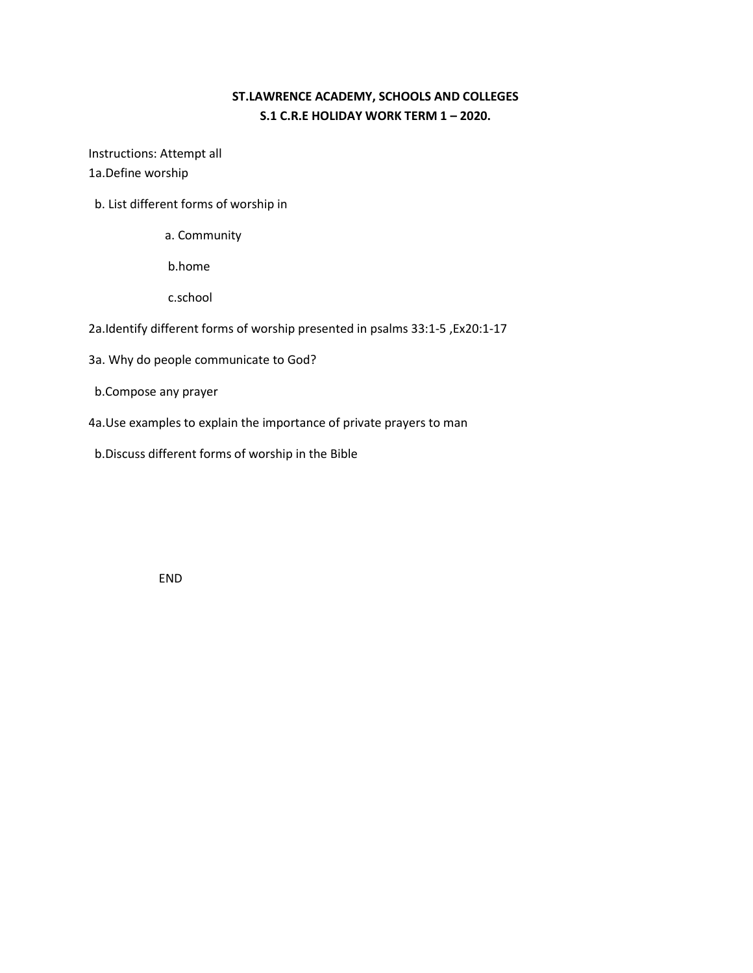# **ST.LAWRENCE ACADEMY, SCHOOLS AND COLLEGES S.1 C.R.E HOLIDAY WORK TERM 1 – 2020.**

Instructions: Attempt all 1a.Define worship

- b. List different forms of worship in
	- a. Community

b.home

c.school

- 2a.Identify different forms of worship presented in psalms 33:1-5 ,Ex20:1-17
- 3a. Why do people communicate to God?
- b.Compose any prayer
- 4a.Use examples to explain the importance of private prayers to man
- b.Discuss different forms of worship in the Bible

END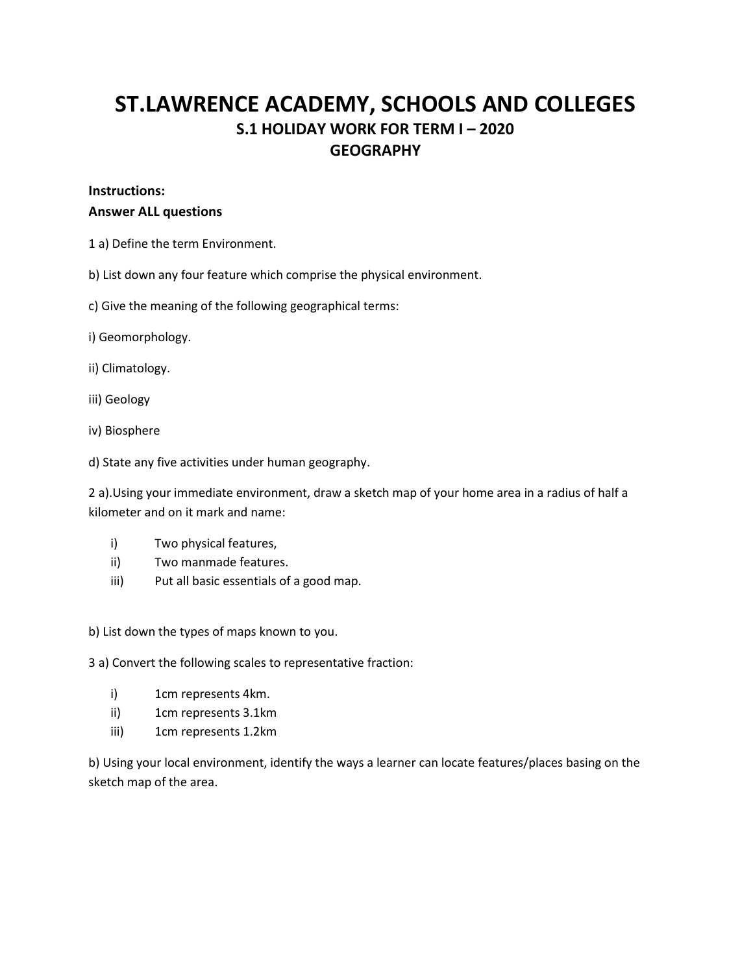# **ST.LAWRENCE ACADEMY, SCHOOLS AND COLLEGES S.1 HOLIDAY WORK FOR TERM I – 2020 GEOGRAPHY**

#### **Instructions:**

#### **Answer ALL questions**

- 1 a) Define the term Environment.
- b) List down any four feature which comprise the physical environment.
- c) Give the meaning of the following geographical terms:
- i) Geomorphology.
- ii) Climatology.
- iii) Geology
- iv) Biosphere
- d) State any five activities under human geography.

2 a).Using your immediate environment, draw a sketch map of your home area in a radius of half a kilometer and on it mark and name:

- i) Two physical features,
- ii) Two manmade features.
- iii) Put all basic essentials of a good map.

b) List down the types of maps known to you.

3 a) Convert the following scales to representative fraction:

- i) 1cm represents 4km.
- ii) 1cm represents 3.1km
- iii) 1cm represents 1.2km

b) Using your local environment, identify the ways a learner can locate features/places basing on the sketch map of the area.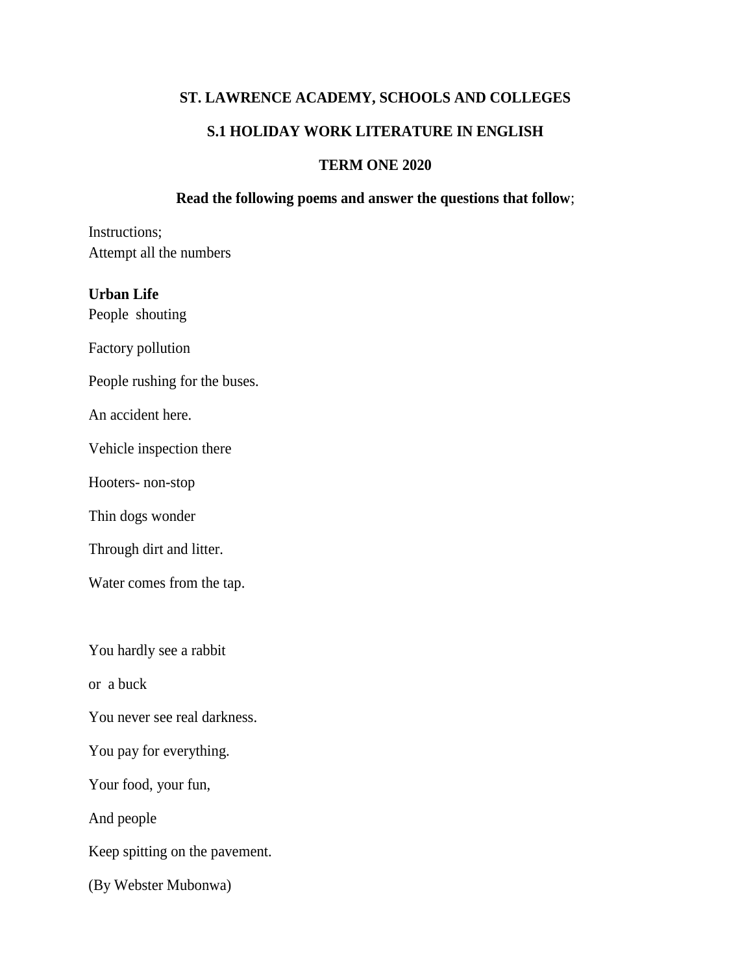# **ST. LAWRENCE ACADEMY, SCHOOLS AND COLLEGES**

# **S.1 HOLIDAY WORK LITERATURE IN ENGLISH**

# **TERM ONE 2020**

# **Read the following poems and answer the questions that follow**;

Instructions; Attempt all the numbers

# **Urban Life**

People shouting

Factory pollution

People rushing for the buses.

An accident here.

Vehicle inspection there

Hooters- non-stop

Thin dogs wonder

Through dirt and litter.

Water comes from the tap.

You hardly see a rabbit

or a buck

You never see real darkness.

You pay for everything.

Your food, your fun,

And people

Keep spitting on the pavement.

(By Webster Mubonwa)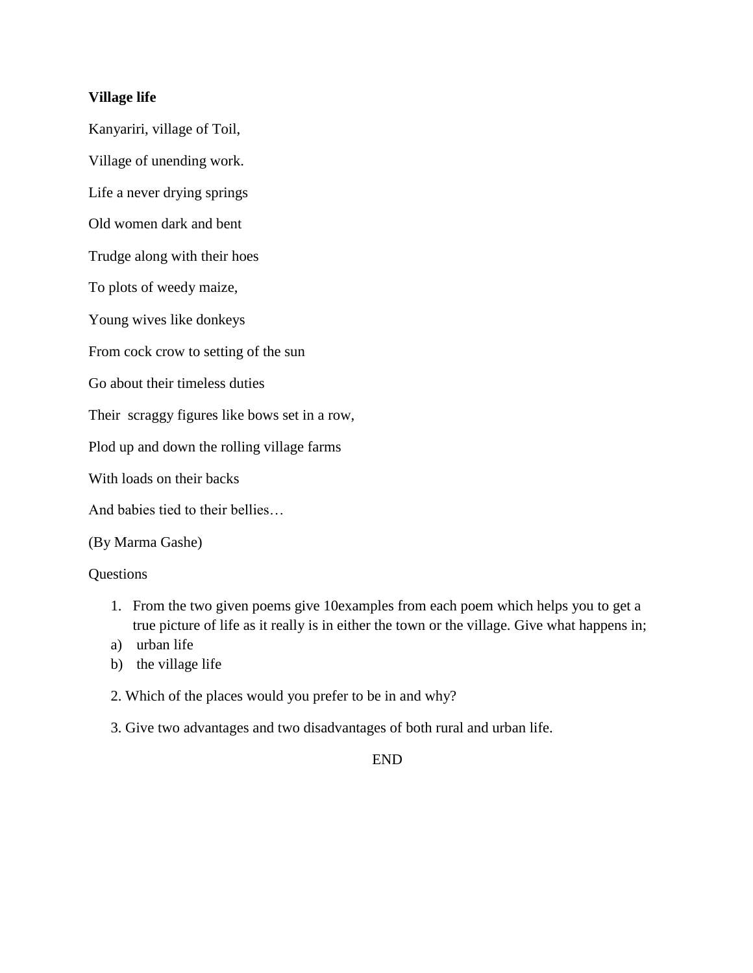# **Village life**

Kanyariri, village of Toil,

Village of unending work.

Life a never drying springs

Old women dark and bent

Trudge along with their hoes

To plots of weedy maize,

Young wives like donkeys

From cock crow to setting of the sun

Go about their timeless duties

Their scraggy figures like bows set in a row,

Plod up and down the rolling village farms

With loads on their backs

And babies tied to their bellies…

# (By Marma Gashe)

# Questions

- 1. From the two given poems give 10examples from each poem which helps you to get a true picture of life as it really is in either the town or the village. Give what happens in;
- a) urban life
- b) the village life
- 2. Which of the places would you prefer to be in and why?
- 3. Give two advantages and two disadvantages of both rural and urban life.

# END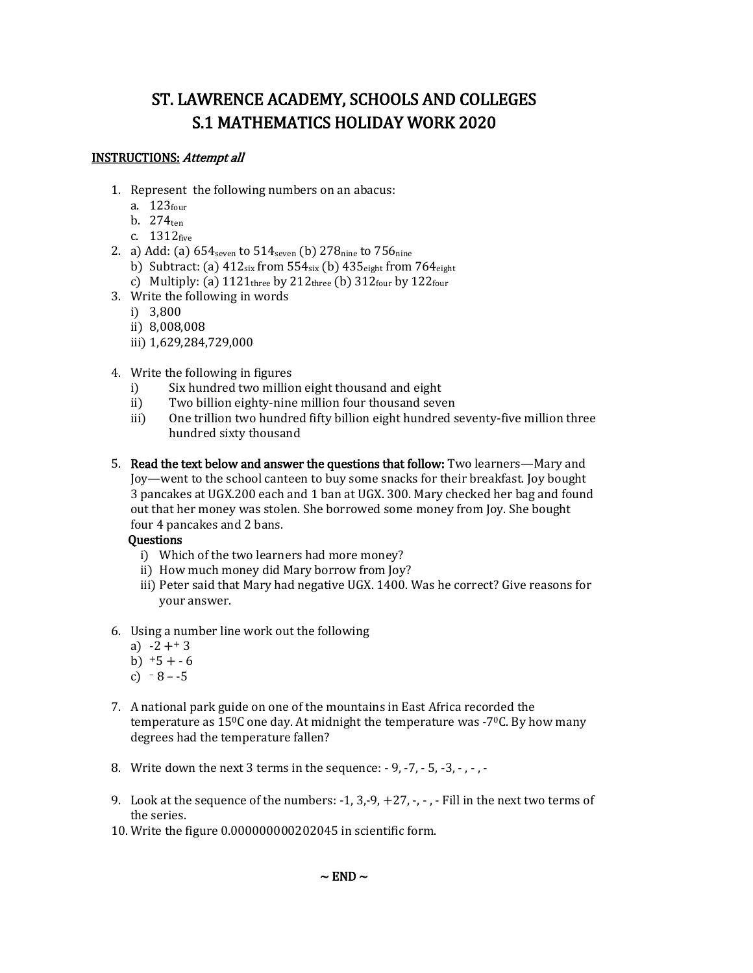# ST. LAWRENCE ACADEMY, SCHOOLS AND COLLEGES S.1 MATHEMATICS HOLIDAY WORK 2020

# INSTRUCTIONS: Attempt all

- 1. Represent the following numbers on an abacus:
	- a. 123four
	- b.  $274$ <sub>ten</sub>
	- c.  $1312$ five
- 2. a) Add: (a)  $654_{\text{seven}}$  to  $514_{\text{seven}}$  (b)  $278_{\text{nine}}$  to  $756_{\text{nine}}$ 
	- b) Subtract: (a)  $412_{\text{six}}$  from  $554_{\text{six}}$  (b)  $435_{\text{eight}}$  from  $764_{\text{eight}}$
	- c) Multiply: (a)  $1121_{\text{three}}$  by  $212_{\text{three}}$  (b)  $312_{\text{four}}$  by  $122_{\text{four}}$
- 3. Write the following in words
	- i) 3,800
	- ii) 8,008,008
	- iii) 1,629,284,729,000
- 4. Write the following in figures
	- i) Six hundred two million eight thousand and eight
	- ii) Two billion eighty-nine million four thousand seven
	- iii) One trillion two hundred fifty billion eight hundred seventy-five million three hundred sixty thousand
- 5. Read the text below and answer the questions that follow: Two learners—Mary and Joy—went to the school canteen to buy some snacks for their breakfast. Joy bought 3 pancakes at UGX.200 each and 1 ban at UGX. 300. Mary checked her bag and found out that her money was stolen. She borrowed some money from Joy. She bought four 4 pancakes and 2 bans.

# **Ouestions**

- i) Which of the two learners had more money?
- ii) How much money did Mary borrow from Joy?
- iii) Peter said that Mary had negative UGX. 1400. Was he correct? Give reasons for your answer.
- 6. Using a number line work out the following
	- a)  $-2 + 3$
	- b)  $+5 + -6$
	- c)  $8 -5$
- 7. A national park guide on one of the mountains in East Africa recorded the temperature as  $15^{\circ}$ C one day. At midnight the temperature was -7 $\circ$ C. By how many degrees had the temperature fallen?
- 8. Write down the next 3 terms in the sequence: 9, -7, 5, -3, , , -
- 9. Look at the sequence of the numbers:  $-1$ ,  $3, -9$ ,  $+27$ ,  $-$ ,  $-$  Fill in the next two terms of the series.
- 10. Write the figure 0.000000000202045 in scientific form.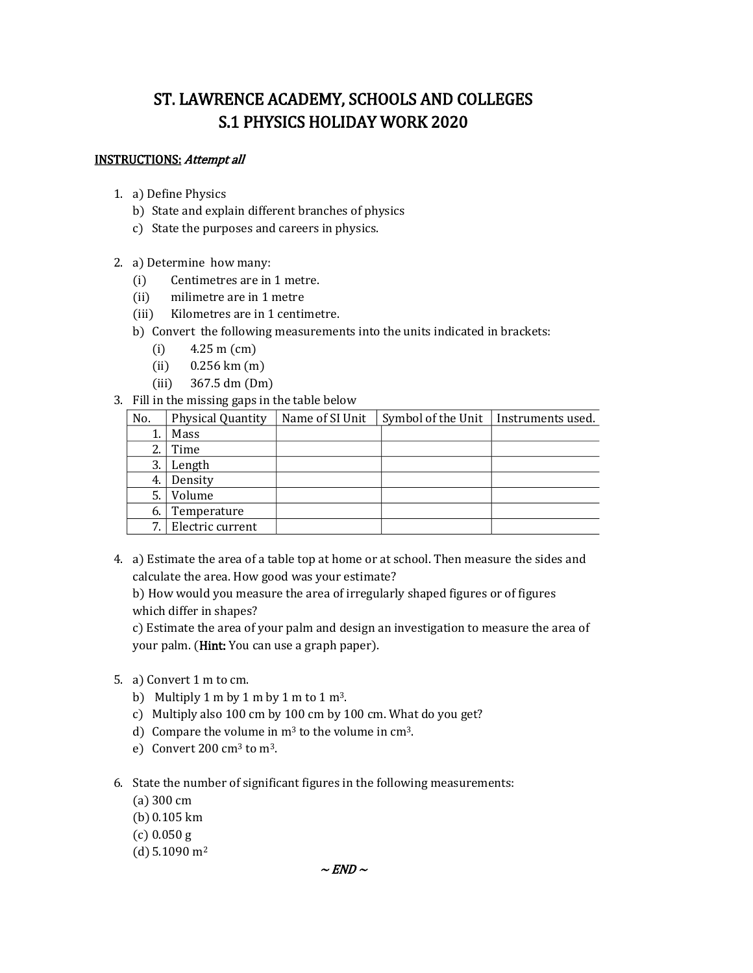# ST. LAWRENCE ACADEMY, SCHOOLS AND COLLEGES S.1 PHYSICS HOLIDAY WORK 2020

#### INSTRUCTIONS: Attempt all

- 1. a) Define Physics
	- b) State and explain different branches of physics
	- c) State the purposes and careers in physics.
- 2. a) Determine how many:
	- (i) Centimetres are in 1 metre.
	- (ii) milimetre are in 1 metre
	- (iii) Kilometres are in 1 centimetre.
	- b) Convert the following measurements into the units indicated in brackets:
		- (i) 4.25 m (cm)
		- (ii) 0.256 km (m)
		- (iii) 367.5 dm (Dm)
- 3. Fill in the missing gaps in the table below

| No. | <b>Physical Quantity</b> | Name of SI Unit | Symbol of the Unit | Instruments used. |
|-----|--------------------------|-----------------|--------------------|-------------------|
|     | Mass                     |                 |                    |                   |
| 2.  | Time                     |                 |                    |                   |
| 3.  | Length                   |                 |                    |                   |
| 4.  | Density                  |                 |                    |                   |
| 5.  | Volume                   |                 |                    |                   |
| 6.  | Temperature              |                 |                    |                   |
| 7   | Electric current         |                 |                    |                   |

4. a) Estimate the area of a table top at home or at school. Then measure the sides and calculate the area. How good was your estimate?

b) How would you measure the area of irregularly shaped figures or of figures which differ in shapes?

c) Estimate the area of your palm and design an investigation to measure the area of your palm. (Hint: You can use a graph paper).

- 5. a) Convert 1 m to cm.
	- b) Multiply 1 m by 1 m by 1 m to 1  $\text{m}^3$ .
	- c) Multiply also 100 cm by 100 cm by 100 cm. What do you get?
	- d) Compare the volume in  $m<sup>3</sup>$  to the volume in  $cm<sup>3</sup>$ .
	- e) Convert 200 cm<sup>3</sup> to m<sup>3</sup>.
- 6. State the number of significant figures in the following measurements:
	- (a) 300 cm
	- (b)0.105 km
	- (c) 0.050 g
	- (d)  $5.1090 \text{ m}^2$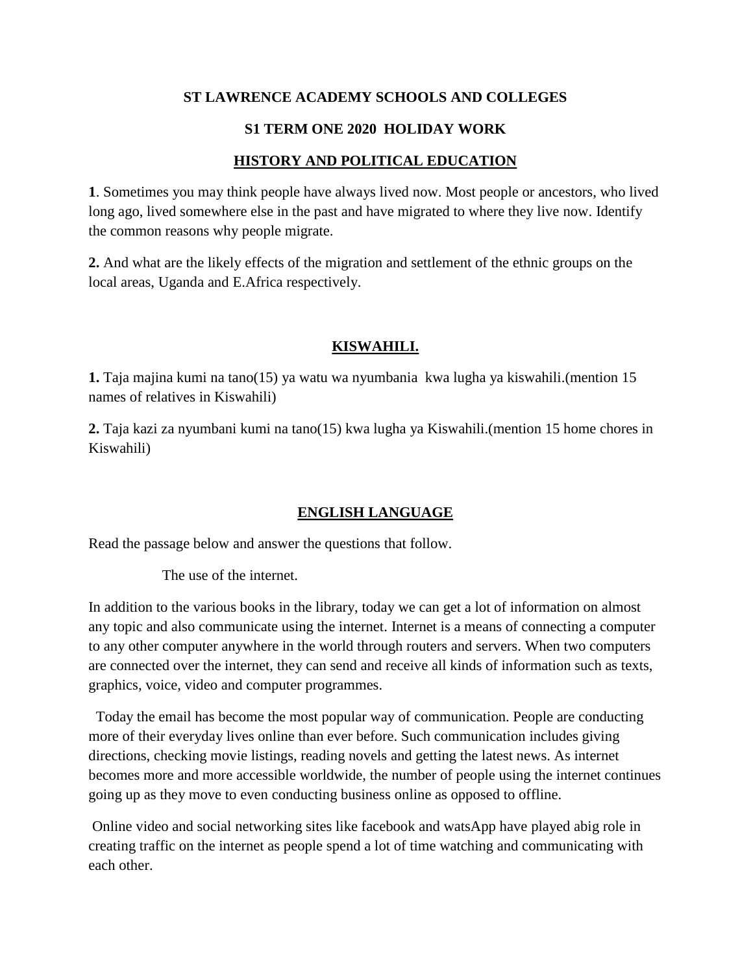# **ST LAWRENCE ACADEMY SCHOOLS AND COLLEGES**

# **S1 TERM ONE 2020 HOLIDAY WORK**

#### **HISTORY AND POLITICAL EDUCATION**

**1**. Sometimes you may think people have always lived now. Most people or ancestors, who lived long ago, lived somewhere else in the past and have migrated to where they live now. Identify the common reasons why people migrate.

**2.** And what are the likely effects of the migration and settlement of the ethnic groups on the local areas, Uganda and E.Africa respectively.

#### **KISWAHILI.**

**1.** Taja majina kumi na tano(15) ya watu wa nyumbania kwa lugha ya kiswahili.(mention 15 names of relatives in Kiswahili)

**2.** Taja kazi za nyumbani kumi na tano(15) kwa lugha ya Kiswahili.(mention 15 home chores in Kiswahili)

#### **ENGLISH LANGUAGE**

Read the passage below and answer the questions that follow.

The use of the internet.

In addition to the various books in the library, today we can get a lot of information on almost any topic and also communicate using the internet. Internet is a means of connecting a computer to any other computer anywhere in the world through routers and servers. When two computers are connected over the internet, they can send and receive all kinds of information such as texts, graphics, voice, video and computer programmes.

 Today the email has become the most popular way of communication. People are conducting more of their everyday lives online than ever before. Such communication includes giving directions, checking movie listings, reading novels and getting the latest news. As internet becomes more and more accessible worldwide, the number of people using the internet continues going up as they move to even conducting business online as opposed to offline.

Online video and social networking sites like facebook and watsApp have played abig role in creating traffic on the internet as people spend a lot of time watching and communicating with each other.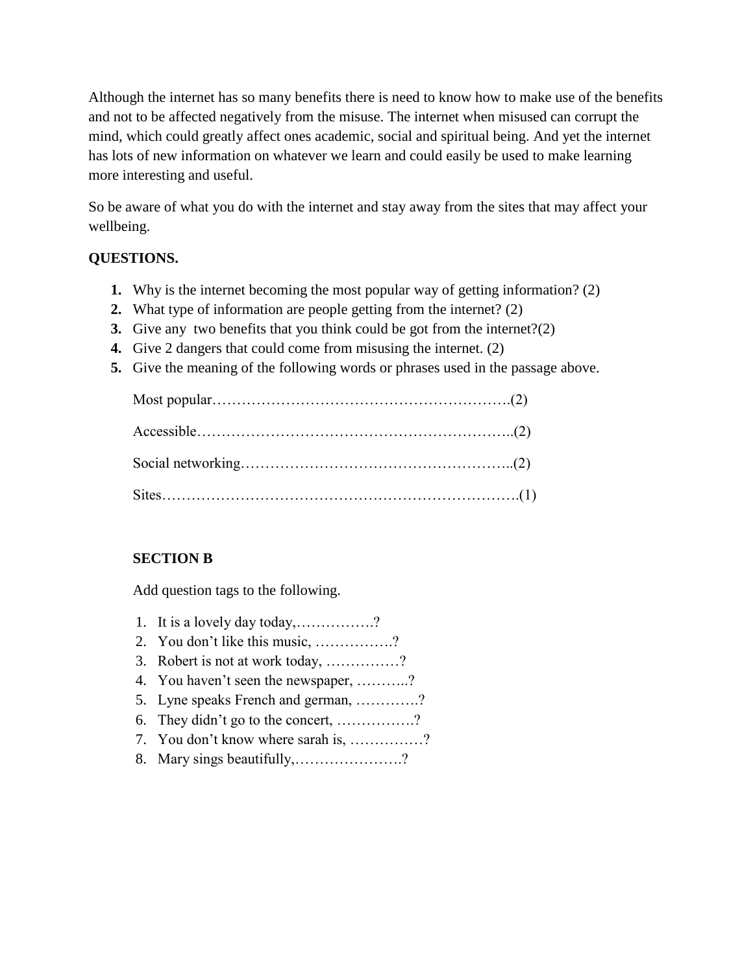Although the internet has so many benefits there is need to know how to make use of the benefits and not to be affected negatively from the misuse. The internet when misused can corrupt the mind, which could greatly affect ones academic, social and spiritual being. And yet the internet has lots of new information on whatever we learn and could easily be used to make learning more interesting and useful.

So be aware of what you do with the internet and stay away from the sites that may affect your wellbeing.

# **QUESTIONS.**

- **1.** Why is the internet becoming the most popular way of getting information? (2)
- **2.** What type of information are people getting from the internet? (2)
- **3.** Give any two benefits that you think could be got from the internet?(2)
- **4.** Give 2 dangers that could come from misusing the internet. (2)
- **5.** Give the meaning of the following words or phrases used in the passage above.

# **SECTION B**

Add question tags to the following.

- 1. It is a lovely day today,…………….?
- 2. You don't like this music, …………….?
- 3. Robert is not at work today, ……………?
- 4. You haven't seen the newspaper, ………..?
- 5. Lyne speaks French and german, ………….?
- 6. They didn't go to the concert, …………….?
- 7. You don't know where sarah is, ……………?
- 8. Mary sings beautifully,………………….?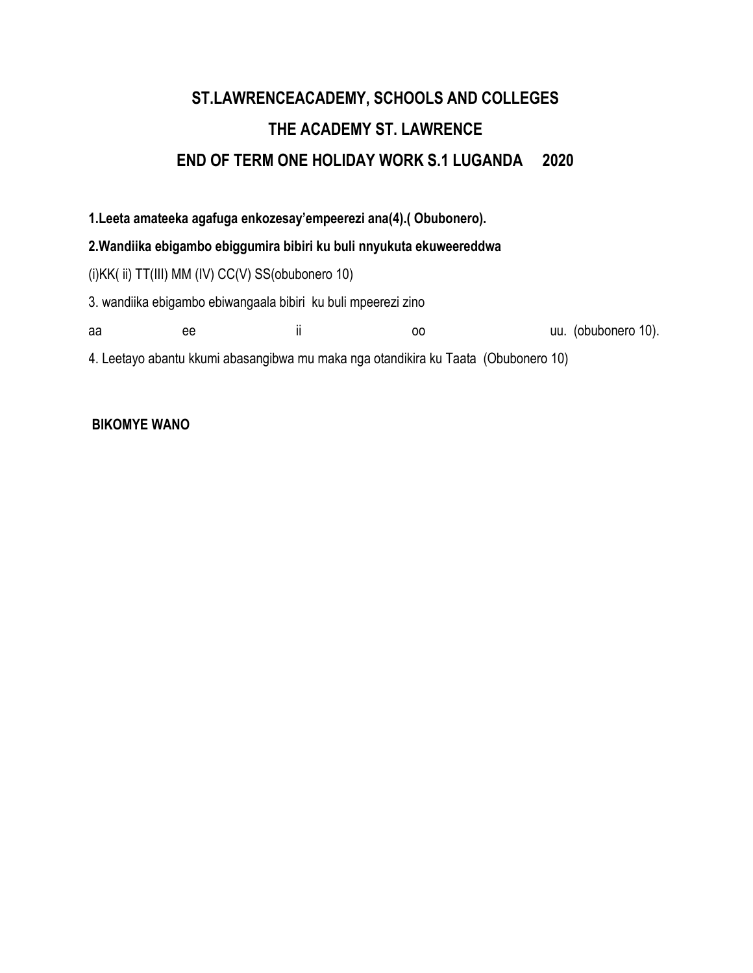# **ST.LAWRENCEACADEMY, SCHOOLS AND COLLEGES THE ACADEMY ST. LAWRENCE END OF TERM ONE HOLIDAY WORK S.1 LUGANDA 2020**

**1.Leeta amateeka agafuga enkozesay'empeerezi ana(4).( Obubonero).**

# **2.Wandiika ebigambo ebiggumira bibiri ku buli nnyukuta ekuweereddwa**

(i)KK( ii) TT(III) MM (IV) CC(V) SS(obubonero 10)

3. wandiika ebigambo ebiwangaala bibiri ku buli mpeerezi zino

aa ee ii oo uu. (obubonero 10).

4. Leetayo abantu kkumi abasangibwa mu maka nga otandikira ku Taata (Obubonero 10)

# **BIKOMYE WANO**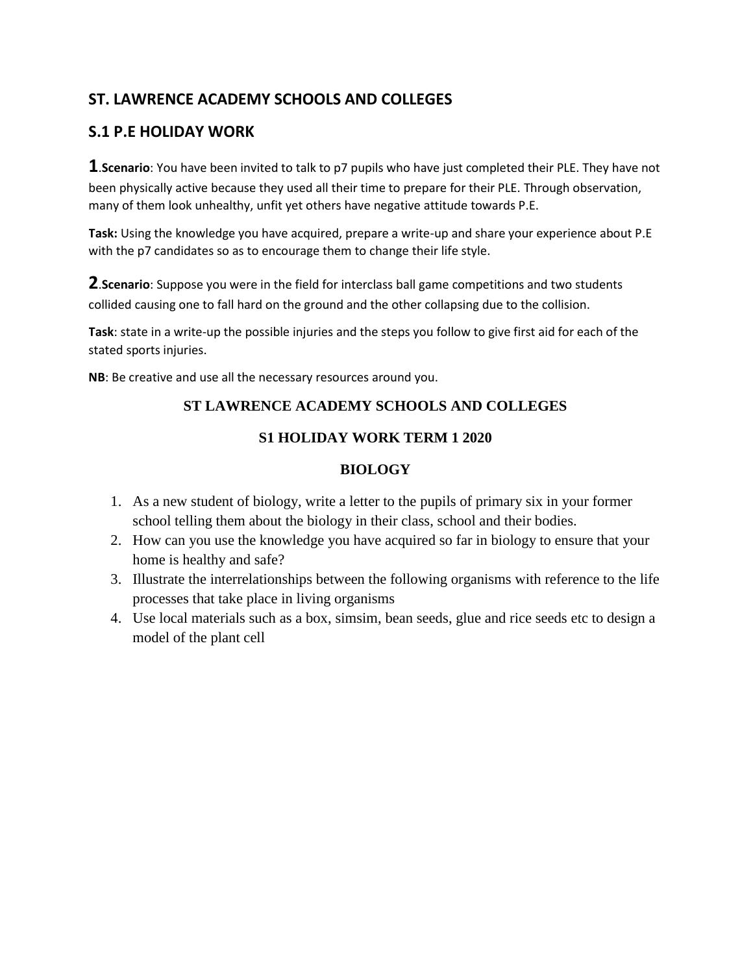# **ST. LAWRENCE ACADEMY SCHOOLS AND COLLEGES**

# **S.1 P.E HOLIDAY WORK**

**1**.**Scenario**: You have been invited to talk to p7 pupils who have just completed their PLE. They have not been physically active because they used all their time to prepare for their PLE. Through observation, many of them look unhealthy, unfit yet others have negative attitude towards P.E.

**Task:** Using the knowledge you have acquired, prepare a write-up and share your experience about P.E with the p7 candidates so as to encourage them to change their life style.

**2**.**Scenario**: Suppose you were in the field for interclass ball game competitions and two students collided causing one to fall hard on the ground and the other collapsing due to the collision.

**Task**: state in a write-up the possible injuries and the steps you follow to give first aid for each of the stated sports injuries.

**NB**: Be creative and use all the necessary resources around you.

# **ST LAWRENCE ACADEMY SCHOOLS AND COLLEGES**

# **S1 HOLIDAY WORK TERM 1 2020**

# **BIOLOGY**

- 1. As a new student of biology, write a letter to the pupils of primary six in your former school telling them about the biology in their class, school and their bodies.
- 2. How can you use the knowledge you have acquired so far in biology to ensure that your home is healthy and safe?
- 3. Illustrate the interrelationships between the following organisms with reference to the life processes that take place in living organisms
- 4. Use local materials such as a box, simsim, bean seeds, glue and rice seeds etc to design a model of the plant cell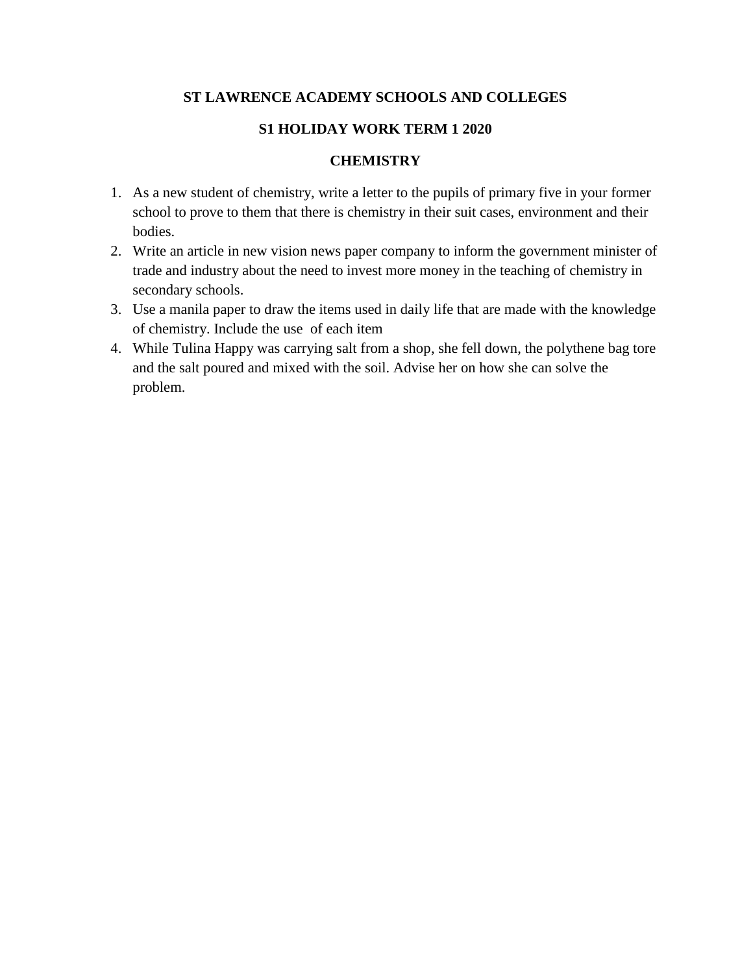# **ST LAWRENCE ACADEMY SCHOOLS AND COLLEGES**

# **S1 HOLIDAY WORK TERM 1 2020**

# **CHEMISTRY**

- 1. As a new student of chemistry, write a letter to the pupils of primary five in your former school to prove to them that there is chemistry in their suit cases, environment and their bodies.
- 2. Write an article in new vision news paper company to inform the government minister of trade and industry about the need to invest more money in the teaching of chemistry in secondary schools.
- 3. Use a manila paper to draw the items used in daily life that are made with the knowledge of chemistry. Include the use of each item
- 4. While Tulina Happy was carrying salt from a shop, she fell down, the polythene bag tore and the salt poured and mixed with the soil. Advise her on how she can solve the problem.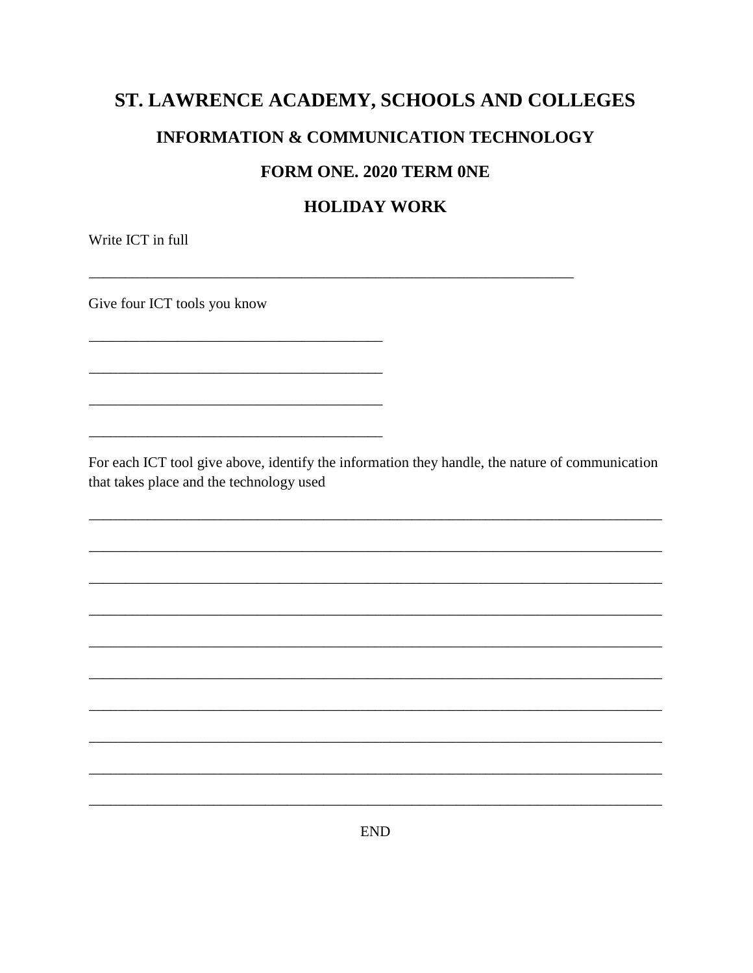# ST. LAWRENCE ACADEMY, SCHOOLS AND COLLEGES **INFORMATION & COMMUNICATION TECHNOLOGY**

# **FORM ONE. 2020 TERM ONE**

# **HOLIDAY WORK**

Write ICT in full

Give four ICT tools you know

For each ICT tool give above, identify the information they handle, the nature of communication that takes place and the technology used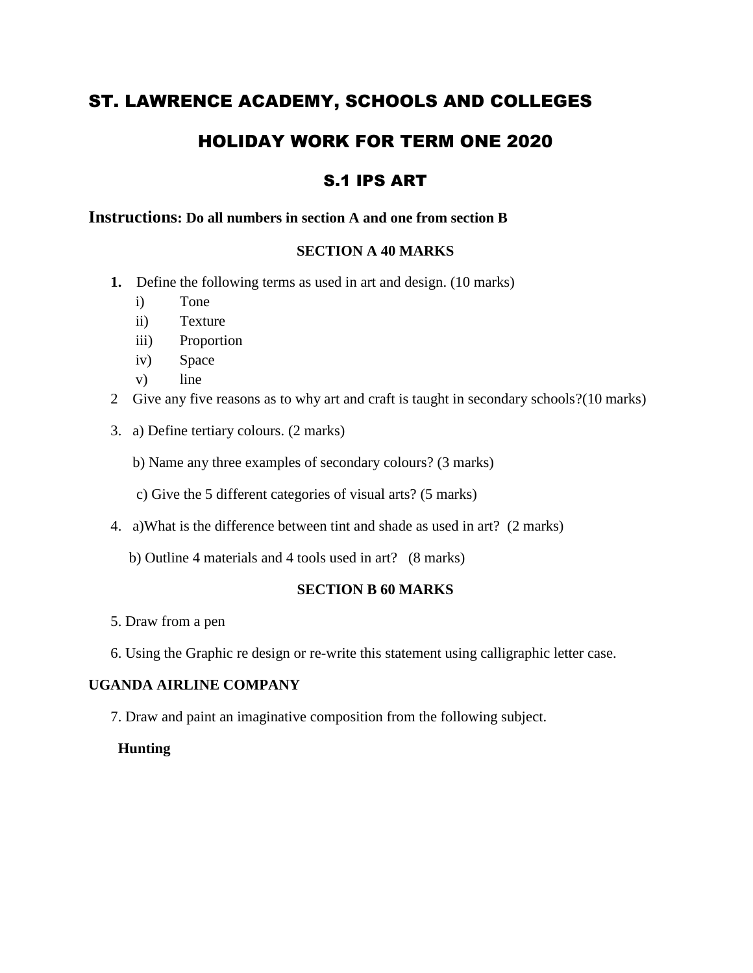# ST. LAWRENCE ACADEMY, SCHOOLS AND COLLEGES

# HOLIDAY WORK FOR TERM ONE 2020

# S.1 IPS ART

# **Instructions: Do all numbers in section A and one from section B**

# **SECTION A 40 MARKS**

- **1.** Define the following terms as used in art and design. (10 marks)
	- i) Tone
	- ii) Texture
	- iii) Proportion
	- iv) Space
	- v) line
- 2 Give any five reasons as to why art and craft is taught in secondary schools?(10 marks)
- 3. a) Define tertiary colours. (2 marks)
	- b) Name any three examples of secondary colours? (3 marks)
	- c) Give the 5 different categories of visual arts? (5 marks)
- 4. a)What is the difference between tint and shade as used in art? (2 marks)
	- b) Outline 4 materials and 4 tools used in art? (8 marks)

# **SECTION B 60 MARKS**

- 5. Draw from a pen
- 6. Using the Graphic re design or re-write this statement using calligraphic letter case.

# **UGANDA AIRLINE COMPANY**

7. Draw and paint an imaginative composition from the following subject.

#### **Hunting**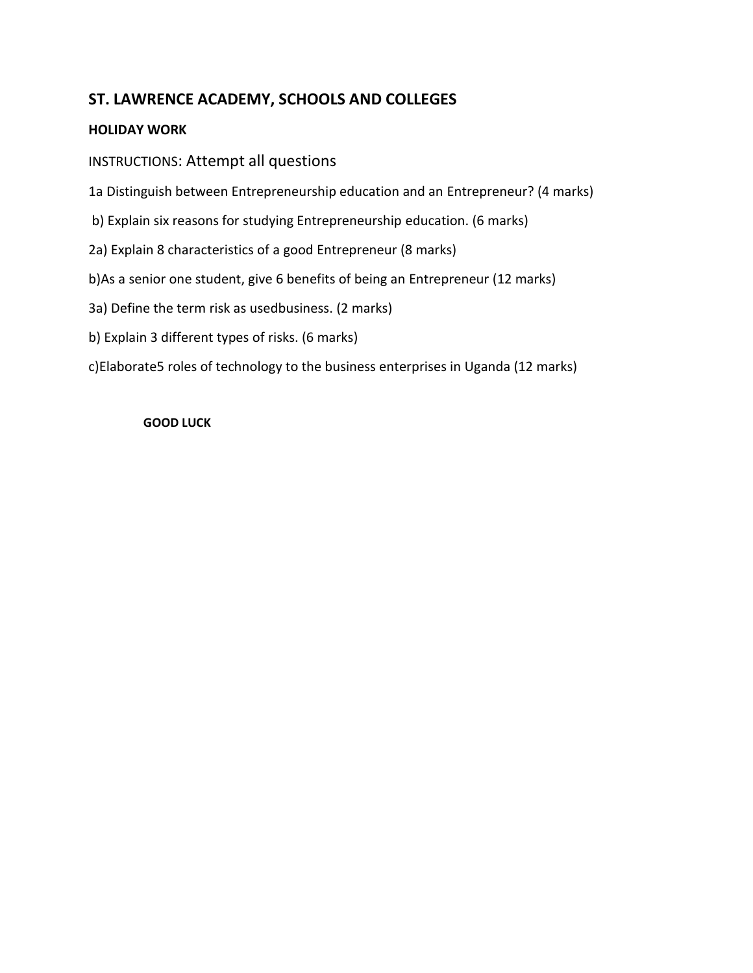# **ST. LAWRENCE ACADEMY, SCHOOLS AND COLLEGES**

# **HOLIDAY WORK**

# INSTRUCTIONS: Attempt all questions

1a Distinguish between Entrepreneurship education and an Entrepreneur? (4 marks)

- b) Explain six reasons for studying Entrepreneurship education. (6 marks)
- 2a) Explain 8 characteristics of a good Entrepreneur (8 marks)
- b)As a senior one student, give 6 benefits of being an Entrepreneur (12 marks)
- 3a) Define the term risk as usedbusiness. (2 marks)
- b) Explain 3 different types of risks. (6 marks)

c)Elaborate5 roles of technology to the business enterprises in Uganda (12 marks)

#### **GOOD LUCK**